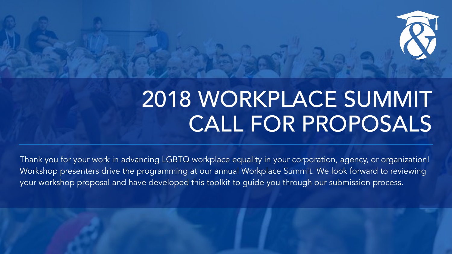## 2018 WORKPLACE SUMMIT CALL FOR PROPOSALS

Thank you for your work in advancing LGBTQ workplace equality in your corporation, agency, or organization! Workshop presenters drive the programming at our annual Workplace Summit. We look forward to reviewing your workshop proposal and have developed this toolkit to guide you through our submission process.



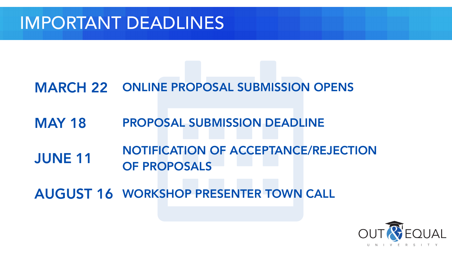## IMPORTANT DEADLINES

- MARCH 22 ONLINE PROPOSAL SUBMISSION OPENS
- **MAY 18**
- JUNE 11 OF PROPOSALS
- AUGUST 16 WORKSHOP PRESENTER TOWN CALL



## NOTIFICATION OF ACCEPTANCE/REJECTION PROPOSAL SUBMISSION DEADLINE



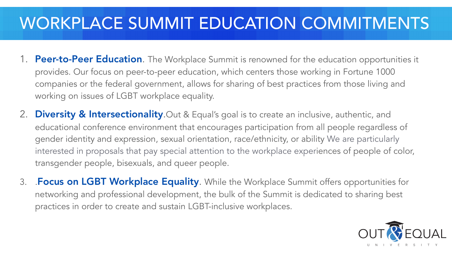## WORKPLACE SUMMIT EDUCATION COMMITMENTS

1. Peer-to-Peer Education. The Workplace Summit is renowned for the education opportunities it provides. Our focus on peer-to-peer education, which centers those working in Fortune 1000 companies or the federal government, allows for sharing of best practices from those living and

3. Focus on LGBT Workplace Equality. While the Workplace Summit offers opportunities for networking and professional development, the bulk of the Summit is dedicated to sharing best





educational conference environment that encourages participation from all people regardless of gender identity and expression, sexual orientation, race/ethnicity, or ability We are particularly interested in proposals that pay special attention to the workplace experiences of people of color,

- working on issues of LGBT workplace equality.
- 2. Diversity & Intersectionality. Out & Equal's goal is to create an inclusive, authentic, and transgender people, bisexuals, and queer people.
- practices in order to create and sustain LGBT-inclusive workplaces.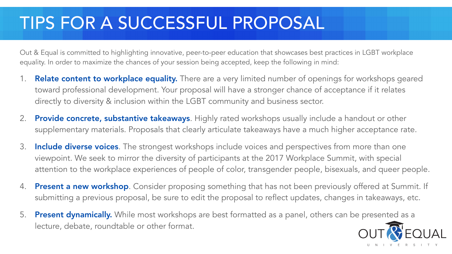## TIPS FOR A SUCCESSFUL PROPOSAL

Out & Equal is committed to highlighting innovative, peer-to-peer education that showcases best practices in LGBT workplace equality. In order to maximize the chances of your session being accepted, keep the following in mind:

Relate content to workplace equality. There are a very limited number of openings for workshops geared toward professional development. Your proposal will have a stronger chance of acceptance if it relates

2. Provide concrete, substantive takeaways. Highly rated workshops usually include a handout or other supplementary materials. Proposals that clearly articulate takeaways have a much higher acceptance rate.

3. Include diverse voices. The strongest workshops include voices and perspectives from more than one viewpoint. We seek to mirror the diversity of participants at the 2017 Workplace Summit, with special attention to the workplace experiences of people of color, transgender people, bisexuals, and queer people.

4. Present a new workshop. Consider proposing something that has not been previously offered at Summit. If submitting a previous proposal, be sure to edit the proposal to reflect updates, changes in takeaways, etc.

5. Present dynamically. While most workshops are best formatted as a panel, others can be presented as a





- directly to diversity & inclusion within the LGBT community and business sector.
- 
- 
- 
- lecture, debate, roundtable or other format.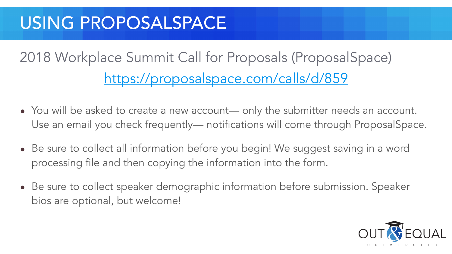## USING PROPOSALSPACE

2018 Workplace Summit Call for Proposals (ProposalSpace)

# <https://proposalspace.com/calls/d/859>

• You will be asked to create a new account— only the submitter needs an account. Use an email you check frequently— notifications will come through ProposalSpace.

• Be sure to collect all information before you begin! We suggest saving in a word

- 
- processing file and then copying the information into the form.
- bios are optional, but welcome!



• Be sure to collect speaker demographic information before submission. Speaker



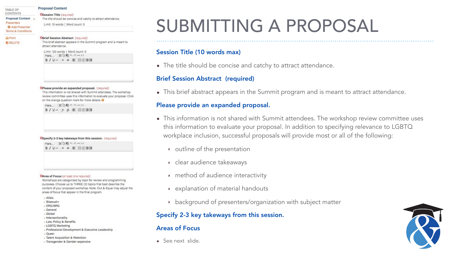### TABLE OF CONTENTS

**Proposal Content** Presenters **O** Add Presenter Terms & Conditions

### $\Box$  Print

**ODELETE** 

### **Proposal Content**

### OSession Title (required)

The title should be concise and catchy to attract attendance.

Limit: 10 words | Word count: 0

### **OBrief Session Abstract (required)**

This brief abstract appears in the Summit program and is meant to attract attendance.

### OPlease provide an expanded proposal. (required)

This information is not shared with Summit attendees. The workshop review committee uses this information to evaluate your proposal. Click on the orange question mark for more details.

## SUBMITTING A PROPOSAL



### CArea of Focus (at least one required)

B / U ... A . A . E . 日日理理

Workshops are categorized by topic for review and programming purposes. Choose up to THREE (3) topics that best describe the content of your proposed workshop. Note: Out & Equal may adjust the areas of focus that appear in the final program.

- Allies
- Bisexual+
- **ERG/BRG**
- General
- □ Global
- Intersectionality
- Law, Policy & Benefits
- □ LGBTQ Marketing
- Professional Development & Executive Leadership
- D Queer
- Talent Acquisition & Retention
- a Transgender & Gender-expansive

### Session Title (10 words max)

• The title should be concise and catchy to attract attendance.

## Brief Session Abstract (required)

• This brief abstract appears in the Summit program and is meant to attract attendance.

### Please provide an expanded proposal.

• This information is not shared with Summit attendees. The workshop review committee uses this information to evaluate your proposal. In addition to specifying relevance to LGBTQ workplace inclusion, successful proposals will provide most or all of the following:

- - ‣ outline of the presentation
	- ‣ clear audience takeaways
	-
	-
	-

‣ method of audience interactivity

‣ explanation of material handouts

‣ background of presenters/organization with subject matter

Specify 2-3 key takeways from this session.



### Areas of Focus

• See next slide.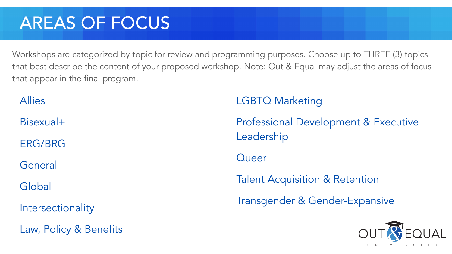## AREAS OF FOCUS

Allies

Bisexual+

ERG/BRG

General

Global

Intersectionality

Law, Policy & Benefits



LGBTQ Marketing

Professional Development & Executive Leadership

**Queer** 

Talent Acquisition & Retention

Transgender & Gender-Expansive



Workshops are categorized by topic for review and programming purposes. Choose up to THREE (3) topics that best describe the content of your proposed workshop. Note: Out & Equal may adjust the areas of focus that appear in the final program.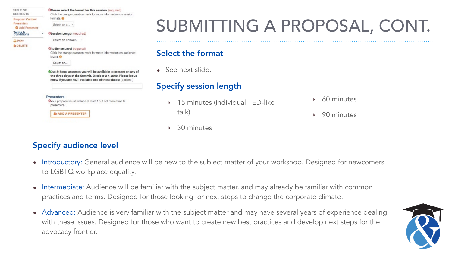## SUBMITTING A PROPOSAL, CONT.

15 minutes (individual TED-like



‣ 60 minutes

‣ 90 minutes



## Specify audience level

- Introductory: General audience will be new to the subject matter of your workshop. Designed for newcomers to LGBTQ workplace equality.
- Intermediate: Audience will be familiar with the subject matter, and may already be familiar with common practices and terms. Designed for those looking for next steps to change the corporate climate.
- Advanced: Audience is very familiar with the subject matter and may have several years of experience dealing with these issues. Designed for those who want to create new best practices and develop next steps for the advocacy frontier.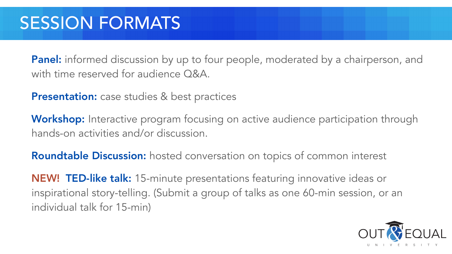## SESSION FORMATS

with time reserved for audience Q&A.

Presentation: case studies & best practices

- Panel: informed discussion by up to four people, moderated by a chairperson, and
	-
- Workshop: Interactive program focusing on active audience participation through
	-
- inspirational story-telling. (Submit a group of talks as one 60-min session, or an





hands-on activities and/or discussion.

Roundtable Discussion: hosted conversation on topics of common interest

NEW! TED-like talk: 15-minute presentations featuring innovative ideas or individual talk for 15-min)

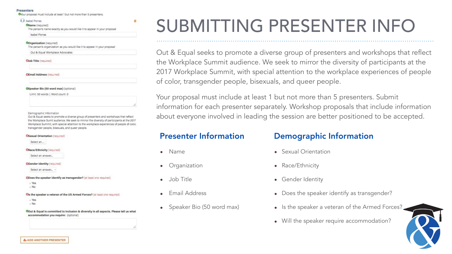### **Presenters**

Wour proposal must include at least 1 but not more than 5 presenters.

### **6 d** Isabel Porras

CName (required)

The person's name exactly as you would like it to appear in your proposal

۰

Isabel Porras

### **Corganization** (required)

The person's organization as you would like it to appear in your proposal

Out & Equal Workplace Advocates

OJob Title (required)

**CEmail Address (required)** 

CSpeaker Bio (50 word max) (optional)

Limit: 50 words | Word count: 0

Demographic Information

## SUBMITTING PRESENTER INFO

Out & Equal seeks to promote a diverse group of presenters and workshops that reflect the Workplace Sumit audience. We seek to mirrror the diversity of participants at the 2017 Workplace Summit, with special attention to the workplace experiences of people of color, transgender people, bisexuals, and queer people.

### **OSexual Orientation** (required)

Select an...

CRace/Ethnicity (required)

Select an answer...

CGender Identity (required)

Select an answer... -

**CDoes the speaker identify as transgender?** (at least one required)

- Yes
- $N<sub>o</sub>$

Cis the speaker a veteran of the US Armed Forces? (at least one required)

- . Yes
- $N<sub>o</sub>$

COut & Equal is committed to inclusion & diversity in all aspects. Please tell us what accommodation you require: (optional)

Out & Equal seeks to promote a diverse group of presenters and workshops that reflect the Workplace Summit audience. We seek to mirror the diversity of participants at the 2017 Workplace Summit, with special attention to the workplace experiences of people of color, transgender people, bisexuals, and queer people.

- Is the speaker a veteran of the Armed Forces?
- Will the speaker require accommodation?



Your proposal must include at least 1 but not more than 5 presenters. Submit information for each presenter separately. Workshop proposals that include information about everyone involved in leading the session are better positioned to be accepted.

## Presenter Information

- Name
- **Organization**
- Job Title
- Email Address
- Speaker Bio (50 word max)

## Demographic Information

- Sexual Orientation
- Race/Ethnicity
- Gender Identity
- Does the speaker identify as transgender?